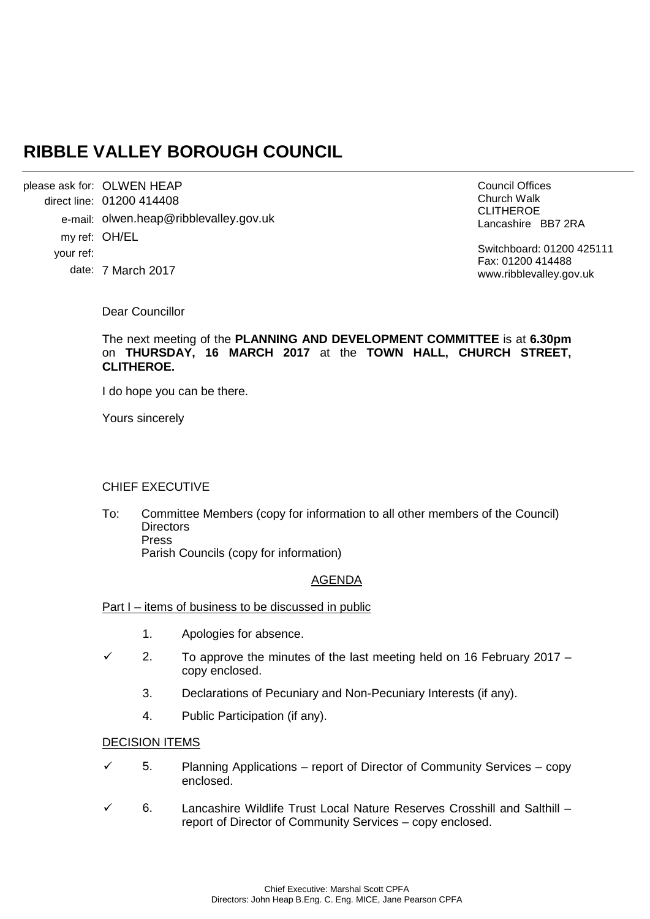# **RIBBLE VALLEY BOROUGH COUNCIL**

OLWEN HEAP please ask for: 01200 414408 direct line: e-mail: olwen.heap@ribblevalley.gov.uk my ref: OH/EL 7 March 2017 date: your ref:

Council Offices Church Walk CLITHEROE Lancashire BB7 2RA

Switchboard: 01200 425111 Fax: 01200 414488 www.ribblevalley.gov.uk

Dear Councillor

The next meeting of the **PLANNING AND DEVELOPMENT COMMITTEE** is at **6.30pm**  on **THURSDAY, 16 MARCH 2017** at the **TOWN HALL, CHURCH STREET, CLITHEROE.**

I do hope you can be there.

Yours sincerely

#### CHIEF EXECUTIVE

To: Committee Members (copy for information to all other members of the Council) **Directors** Press Parish Councils (copy for information)

### AGENDA

#### Part I – items of business to be discussed in public

- 1. Apologies for absence.
- $\checkmark$  2. To approve the minutes of the last meeting held on 16 February 2017 copy enclosed.
	- 3. Declarations of Pecuniary and Non-Pecuniary Interests (if any).
	- 4. Public Participation (if any).

#### DECISION ITEMS

- $\checkmark$  5. Planning Applications report of Director of Community Services copy enclosed.
- 6. Lancashire Wildlife Trust Local Nature Reserves Crosshill and Salthill report of Director of Community Services – copy enclosed.